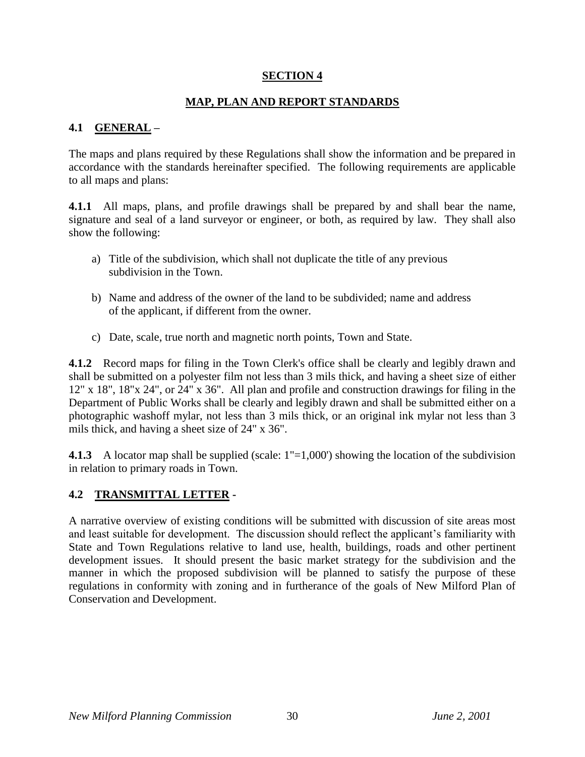#### **SECTION 4**

#### **MAP, PLAN AND REPORT STANDARDS**

#### **4.1 GENERAL –**

The maps and plans required by these Regulations shall show the information and be prepared in accordance with the standards hereinafter specified. The following requirements are applicable to all maps and plans:

**4.1.1** All maps, plans, and profile drawings shall be prepared by and shall bear the name, signature and seal of a land surveyor or engineer, or both, as required by law. They shall also show the following:

- a) Title of the subdivision, which shall not duplicate the title of any previous subdivision in the Town.
- b) Name and address of the owner of the land to be subdivided; name and address of the applicant, if different from the owner.
- c) Date, scale, true north and magnetic north points, Town and State.

**4.1.2** Record maps for filing in the Town Clerk's office shall be clearly and legibly drawn and shall be submitted on a polyester film not less than 3 mils thick, and having a sheet size of either 12" x 18", 18"x 24", or 24" x 36". All plan and profile and construction drawings for filing in the Department of Public Works shall be clearly and legibly drawn and shall be submitted either on a photographic washoff mylar, not less than 3 mils thick, or an original ink mylar not less than 3 mils thick, and having a sheet size of 24" x 36".

**4.1.3** A locator map shall be supplied (scale:  $1"=1,000'$ ) showing the location of the subdivision in relation to primary roads in Town.

#### **4.2 TRANSMITTAL LETTER -**

A narrative overview of existing conditions will be submitted with discussion of site areas most and least suitable for development. The discussion should reflect the applicant's familiarity with State and Town Regulations relative to land use, health, buildings, roads and other pertinent development issues. It should present the basic market strategy for the subdivision and the manner in which the proposed subdivision will be planned to satisfy the purpose of these regulations in conformity with zoning and in furtherance of the goals of New Milford Plan of Conservation and Development.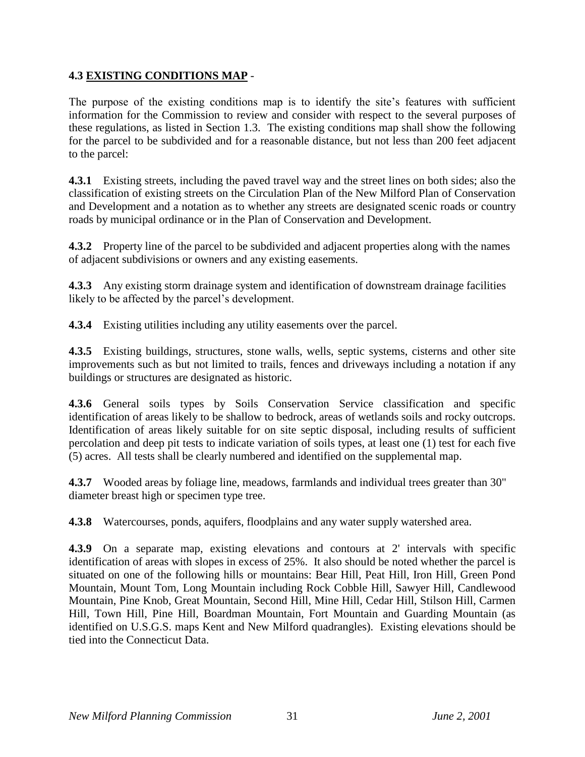### **4.3 EXISTING CONDITIONS MAP** -

The purpose of the existing conditions map is to identify the site's features with sufficient information for the Commission to review and consider with respect to the several purposes of these regulations, as listed in Section 1.3. The existing conditions map shall show the following for the parcel to be subdivided and for a reasonable distance, but not less than 200 feet adjacent to the parcel:

**4.3.1** Existing streets, including the paved travel way and the street lines on both sides; also the classification of existing streets on the Circulation Plan of the New Milford Plan of Conservation and Development and a notation as to whether any streets are designated scenic roads or country roads by municipal ordinance or in the Plan of Conservation and Development.

**4.3.2** Property line of the parcel to be subdivided and adjacent properties along with the names of adjacent subdivisions or owners and any existing easements.

**4.3.3** Any existing storm drainage system and identification of downstream drainage facilities likely to be affected by the parcel's development.

**4.3.4** Existing utilities including any utility easements over the parcel.

**4.3.5** Existing buildings, structures, stone walls, wells, septic systems, cisterns and other site improvements such as but not limited to trails, fences and driveways including a notation if any buildings or structures are designated as historic.

**4.3.6** General soils types by Soils Conservation Service classification and specific identification of areas likely to be shallow to bedrock, areas of wetlands soils and rocky outcrops. Identification of areas likely suitable for on site septic disposal, including results of sufficient percolation and deep pit tests to indicate variation of soils types, at least one (1) test for each five (5) acres. All tests shall be clearly numbered and identified on the supplemental map.

**4.3.7** Wooded areas by foliage line, meadows, farmlands and individual trees greater than 30" diameter breast high or specimen type tree.

**4.3.8** Watercourses, ponds, aquifers, floodplains and any water supply watershed area.

**4.3.9** On a separate map, existing elevations and contours at 2' intervals with specific identification of areas with slopes in excess of 25%. It also should be noted whether the parcel is situated on one of the following hills or mountains: Bear Hill, Peat Hill, Iron Hill, Green Pond Mountain, Mount Tom, Long Mountain including Rock Cobble Hill, Sawyer Hill, Candlewood Mountain, Pine Knob, Great Mountain, Second Hill, Mine Hill, Cedar Hill, Stilson Hill, Carmen Hill, Town Hill, Pine Hill, Boardman Mountain, Fort Mountain and Guarding Mountain (as identified on U.S.G.S. maps Kent and New Milford quadrangles). Existing elevations should be tied into the Connecticut Data.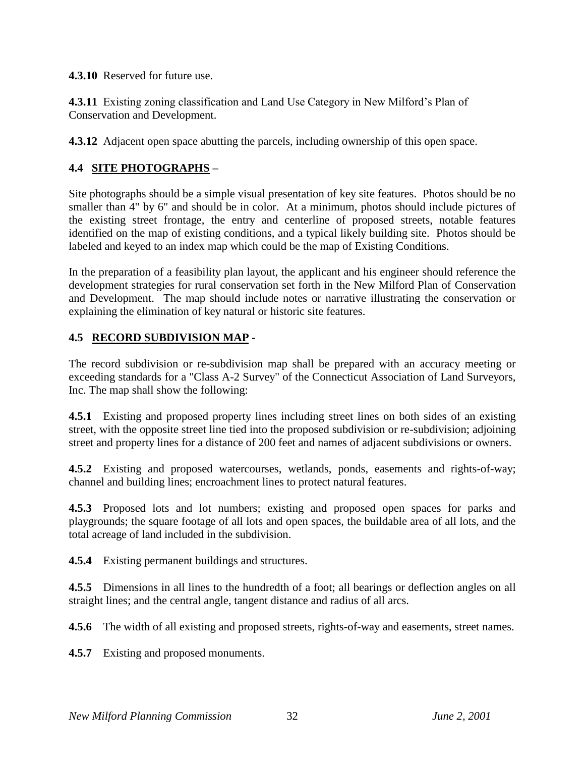**4.3.10** Reserved for future use.

**4.3.11** Existing zoning classification and Land Use Category in New Milford's Plan of Conservation and Development.

**4.3.12** Adjacent open space abutting the parcels, including ownership of this open space.

## **4.4 SITE PHOTOGRAPHS –**

Site photographs should be a simple visual presentation of key site features. Photos should be no smaller than 4" by 6" and should be in color. At a minimum, photos should include pictures of the existing street frontage, the entry and centerline of proposed streets, notable features identified on the map of existing conditions, and a typical likely building site. Photos should be labeled and keyed to an index map which could be the map of Existing Conditions.

In the preparation of a feasibility plan layout, the applicant and his engineer should reference the development strategies for rural conservation set forth in the New Milford Plan of Conservation and Development. The map should include notes or narrative illustrating the conservation or explaining the elimination of key natural or historic site features.

#### **4.5 RECORD SUBDIVISION MAP -**

The record subdivision or re-subdivision map shall be prepared with an accuracy meeting or exceeding standards for a "Class A-2 Survey" of the Connecticut Association of Land Surveyors, Inc. The map shall show the following:

**4.5.1** Existing and proposed property lines including street lines on both sides of an existing street, with the opposite street line tied into the proposed subdivision or re-subdivision; adjoining street and property lines for a distance of 200 feet and names of adjacent subdivisions or owners.

**4.5.2** Existing and proposed watercourses, wetlands, ponds, easements and rights-of-way; channel and building lines; encroachment lines to protect natural features.

**4.5.3** Proposed lots and lot numbers; existing and proposed open spaces for parks and playgrounds; the square footage of all lots and open spaces, the buildable area of all lots, and the total acreage of land included in the subdivision.

**4.5.4** Existing permanent buildings and structures.

**4.5.5** Dimensions in all lines to the hundredth of a foot; all bearings or deflection angles on all straight lines; and the central angle, tangent distance and radius of all arcs.

**4.5.6** The width of all existing and proposed streets, rights-of-way and easements, street names.

**4.5.7** Existing and proposed monuments.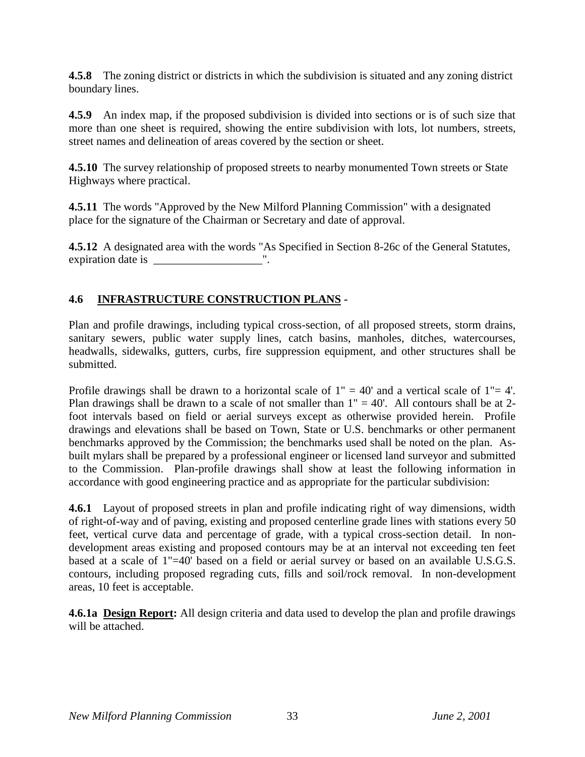**4.5.8** The zoning district or districts in which the subdivision is situated and any zoning district boundary lines.

**4.5.9** An index map, if the proposed subdivision is divided into sections or is of such size that more than one sheet is required, showing the entire subdivision with lots, lot numbers, streets, street names and delineation of areas covered by the section or sheet.

**4.5.10** The survey relationship of proposed streets to nearby monumented Town streets or State Highways where practical.

**4.5.11** The words "Approved by the New Milford Planning Commission" with a designated place for the signature of the Chairman or Secretary and date of approval.

**4.5.12** A designated area with the words "As Specified in Section 8-26c of the General Statutes, expiration date is \_\_\_\_\_\_\_\_\_\_\_\_\_\_\_\_\_\_\_".

### **4.6 INFRASTRUCTURE CONSTRUCTION PLANS -**

Plan and profile drawings, including typical cross-section, of all proposed streets, storm drains, sanitary sewers, public water supply lines, catch basins, manholes, ditches, watercourses, headwalls, sidewalks, gutters, curbs, fire suppression equipment, and other structures shall be submitted.

Profile drawings shall be drawn to a horizontal scale of  $1" = 40'$  and a vertical scale of  $1" = 4'$ . Plan drawings shall be drawn to a scale of not smaller than  $1" = 40'$ . All contours shall be at 2foot intervals based on field or aerial surveys except as otherwise provided herein. Profile drawings and elevations shall be based on Town, State or U.S. benchmarks or other permanent benchmarks approved by the Commission; the benchmarks used shall be noted on the plan. Asbuilt mylars shall be prepared by a professional engineer or licensed land surveyor and submitted to the Commission. Plan-profile drawings shall show at least the following information in accordance with good engineering practice and as appropriate for the particular subdivision:

**4.6.1** Layout of proposed streets in plan and profile indicating right of way dimensions, width of right-of-way and of paving, existing and proposed centerline grade lines with stations every 50 feet, vertical curve data and percentage of grade, with a typical cross-section detail. In nondevelopment areas existing and proposed contours may be at an interval not exceeding ten feet based at a scale of 1"=40' based on a field or aerial survey or based on an available U.S.G.S. contours, including proposed regrading cuts, fills and soil/rock removal. In non-development areas, 10 feet is acceptable.

**4.6.1a Design Report:** All design criteria and data used to develop the plan and profile drawings will be attached.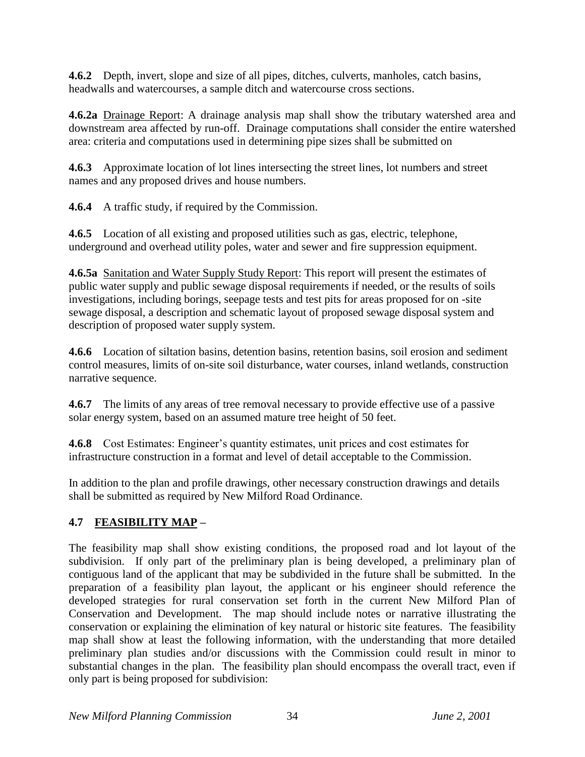**4.6.2** Depth, invert, slope and size of all pipes, ditches, culverts, manholes, catch basins, headwalls and watercourses, a sample ditch and watercourse cross sections.

**4.6.2a** Drainage Report: A drainage analysis map shall show the tributary watershed area and downstream area affected by run-off. Drainage computations shall consider the entire watershed area: criteria and computations used in determining pipe sizes shall be submitted on

**4.6.3** Approximate location of lot lines intersecting the street lines, lot numbers and street names and any proposed drives and house numbers.

**4.6.4** A traffic study, if required by the Commission.

**4.6.5** Location of all existing and proposed utilities such as gas, electric, telephone, underground and overhead utility poles, water and sewer and fire suppression equipment.

**4.6.5a** Sanitation and Water Supply Study Report: This report will present the estimates of public water supply and public sewage disposal requirements if needed, or the results of soils investigations, including borings, seepage tests and test pits for areas proposed for on -site sewage disposal, a description and schematic layout of proposed sewage disposal system and description of proposed water supply system.

**4.6.6** Location of siltation basins, detention basins, retention basins, soil erosion and sediment control measures, limits of on-site soil disturbance, water courses, inland wetlands, construction narrative sequence.

**4.6.7** The limits of any areas of tree removal necessary to provide effective use of a passive solar energy system, based on an assumed mature tree height of 50 feet.

**4.6.8** Cost Estimates: Engineer's quantity estimates, unit prices and cost estimates for infrastructure construction in a format and level of detail acceptable to the Commission.

In addition to the plan and profile drawings, other necessary construction drawings and details shall be submitted as required by New Milford Road Ordinance.

## **4.7 FEASIBILITY MAP –**

The feasibility map shall show existing conditions, the proposed road and lot layout of the subdivision. If only part of the preliminary plan is being developed, a preliminary plan of contiguous land of the applicant that may be subdivided in the future shall be submitted. In the preparation of a feasibility plan layout, the applicant or his engineer should reference the developed strategies for rural conservation set forth in the current New Milford Plan of Conservation and Development. The map should include notes or narrative illustrating the conservation or explaining the elimination of key natural or historic site features. The feasibility map shall show at least the following information, with the understanding that more detailed preliminary plan studies and/or discussions with the Commission could result in minor to substantial changes in the plan. The feasibility plan should encompass the overall tract, even if only part is being proposed for subdivision: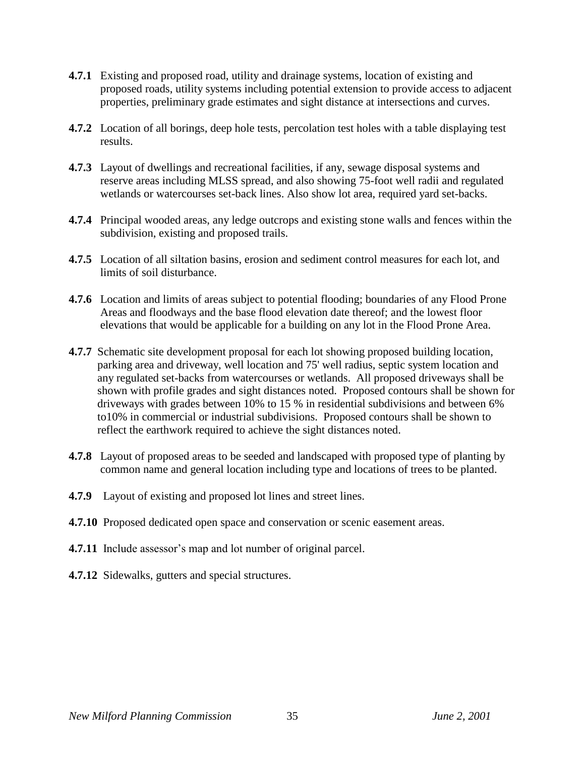- **4.7.1** Existing and proposed road, utility and drainage systems, location of existing and proposed roads, utility systems including potential extension to provide access to adjacent properties, preliminary grade estimates and sight distance at intersections and curves.
- **4.7.2** Location of all borings, deep hole tests, percolation test holes with a table displaying test results.
- **4.7.3** Layout of dwellings and recreational facilities, if any, sewage disposal systems and reserve areas including MLSS spread, and also showing 75-foot well radii and regulated wetlands or watercourses set-back lines. Also show lot area, required yard set-backs.
- **4.7.4** Principal wooded areas, any ledge outcrops and existing stone walls and fences within the subdivision, existing and proposed trails.
- **4.7.5** Location of all siltation basins, erosion and sediment control measures for each lot, and limits of soil disturbance.
- **4.7.6** Location and limits of areas subject to potential flooding; boundaries of any Flood Prone Areas and floodways and the base flood elevation date thereof; and the lowest floor elevations that would be applicable for a building on any lot in the Flood Prone Area.
- **4.7.7** Schematic site development proposal for each lot showing proposed building location, parking area and driveway, well location and 75' well radius, septic system location and any regulated set-backs from watercourses or wetlands. All proposed driveways shall be shown with profile grades and sight distances noted. Proposed contours shall be shown for driveways with grades between 10% to 15 % in residential subdivisions and between 6% to10% in commercial or industrial subdivisions. Proposed contours shall be shown to reflect the earthwork required to achieve the sight distances noted.
- **4.7.8** Layout of proposed areas to be seeded and landscaped with proposed type of planting by common name and general location including type and locations of trees to be planted.
- **4.7.9** Layout of existing and proposed lot lines and street lines.
- **4.7.10** Proposed dedicated open space and conservation or scenic easement areas.
- **4.7.11** Include assessor's map and lot number of original parcel.
- **4.7.12** Sidewalks, gutters and special structures.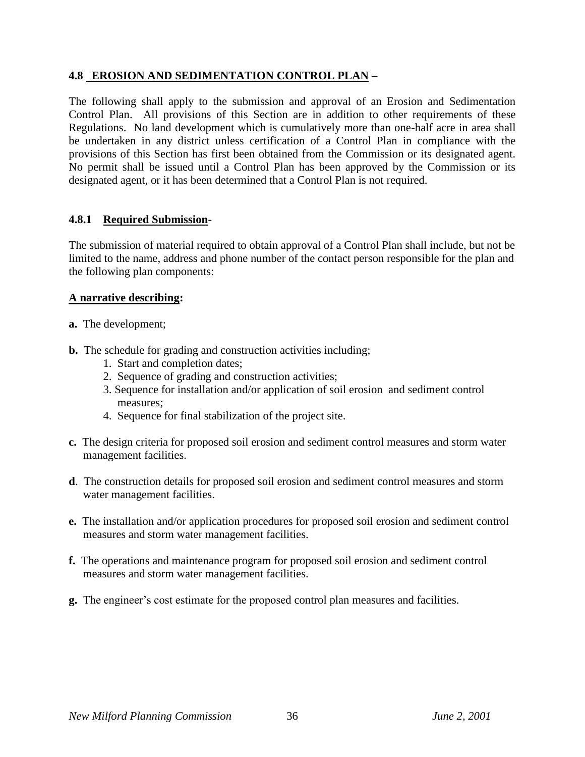#### **4.8 EROSION AND SEDIMENTATION CONTROL PLAN –**

The following shall apply to the submission and approval of an Erosion and Sedimentation Control Plan. All provisions of this Section are in addition to other requirements of these Regulations. No land development which is cumulatively more than one-half acre in area shall be undertaken in any district unless certification of a Control Plan in compliance with the provisions of this Section has first been obtained from the Commission or its designated agent. No permit shall be issued until a Control Plan has been approved by the Commission or its designated agent, or it has been determined that a Control Plan is not required.

#### **4.8.1 Required Submission-**

The submission of material required to obtain approval of a Control Plan shall include, but not be limited to the name, address and phone number of the contact person responsible for the plan and the following plan components:

#### **A narrative describing:**

- **a.** The development;
- **b.** The schedule for grading and construction activities including;
	- 1. Start and completion dates;
	- 2. Sequence of grading and construction activities;
	- 3. Sequence for installation and/or application of soil erosion and sediment control measures;
	- 4. Sequence for final stabilization of the project site.
- **c.** The design criteria for proposed soil erosion and sediment control measures and storm water management facilities.
- **d**. The construction details for proposed soil erosion and sediment control measures and storm water management facilities.
- **e.** The installation and/or application procedures for proposed soil erosion and sediment control measures and storm water management facilities.
- **f.** The operations and maintenance program for proposed soil erosion and sediment control measures and storm water management facilities.
- **g.** The engineer's cost estimate for the proposed control plan measures and facilities.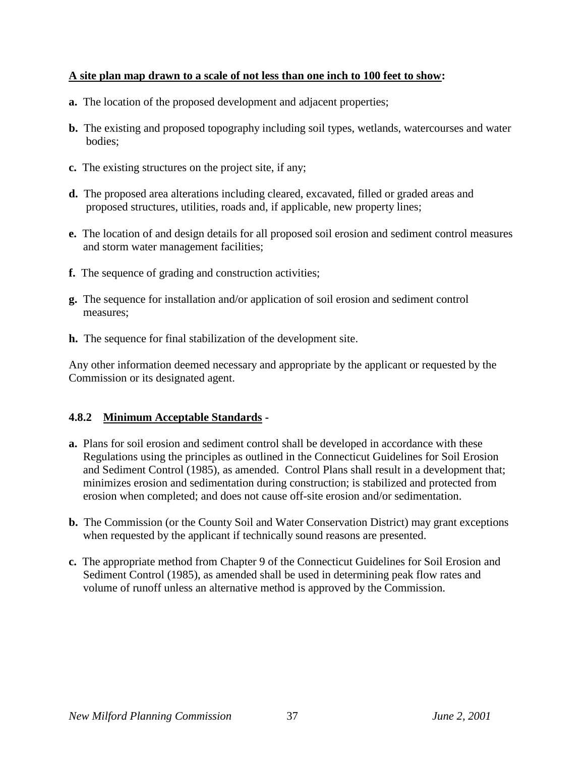#### **A site plan map drawn to a scale of not less than one inch to 100 feet to show:**

- **a.** The location of the proposed development and adjacent properties;
- **b.** The existing and proposed topography including soil types, wetlands, watercourses and water bodies;
- **c.** The existing structures on the project site, if any;
- **d.** The proposed area alterations including cleared, excavated, filled or graded areas and proposed structures, utilities, roads and, if applicable, new property lines;
- **e.** The location of and design details for all proposed soil erosion and sediment control measures and storm water management facilities;
- **f.** The sequence of grading and construction activities;
- **g.** The sequence for installation and/or application of soil erosion and sediment control measures;
- **h.** The sequence for final stabilization of the development site.

Any other information deemed necessary and appropriate by the applicant or requested by the Commission or its designated agent.

## **4.8.2 Minimum Acceptable Standards -**

- **a.** Plans for soil erosion and sediment control shall be developed in accordance with these Regulations using the principles as outlined in the Connecticut Guidelines for Soil Erosion and Sediment Control (1985), as amended. Control Plans shall result in a development that; minimizes erosion and sedimentation during construction; is stabilized and protected from erosion when completed; and does not cause off-site erosion and/or sedimentation.
- **b.** The Commission (or the County Soil and Water Conservation District) may grant exceptions when requested by the applicant if technically sound reasons are presented.
- **c.** The appropriate method from Chapter 9 of the Connecticut Guidelines for Soil Erosion and Sediment Control (1985), as amended shall be used in determining peak flow rates and volume of runoff unless an alternative method is approved by the Commission.